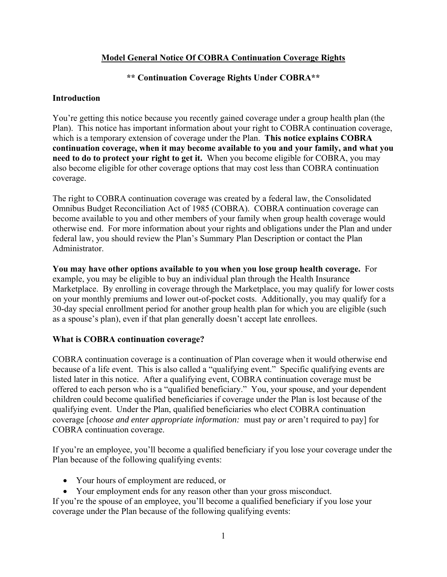# **Model General Notice Of COBRA Continuation Coverage Rights**

### **\*\* Continuation Coverage Rights Under COBRA\*\***

#### **Introduction**

You're getting this notice because you recently gained coverage under a group health plan (the Plan). This notice has important information about your right to COBRA continuation coverage, which is a temporary extension of coverage under the Plan. **This notice explains COBRA continuation coverage, when it may become available to you and your family, and what you need to do to protect your right to get it.** When you become eligible for COBRA, you may also become eligible for other coverage options that may cost less than COBRA continuation coverage.

The right to COBRA continuation coverage was created by a federal law, the Consolidated Omnibus Budget Reconciliation Act of 1985 (COBRA). COBRA continuation coverage can become available to you and other members of your family when group health coverage would otherwise end. For more information about your rights and obligations under the Plan and under federal law, you should review the Plan's Summary Plan Description or contact the Plan Administrator.

**You may have other options available to you when you lose group health coverage.** For example, you may be eligible to buy an individual plan through the Health Insurance Marketplace. By enrolling in coverage through the Marketplace, you may qualify for lower costs on your monthly premiums and lower out-of-pocket costs. Additionally, you may qualify for a 30-day special enrollment period for another group health plan for which you are eligible (such as a spouse's plan), even if that plan generally doesn't accept late enrollees.

### **What is COBRA continuation coverage?**

COBRA continuation coverage is a continuation of Plan coverage when it would otherwise end because of a life event. This is also called a "qualifying event." Specific qualifying events are listed later in this notice. After a qualifying event, COBRA continuation coverage must be offered to each person who is a "qualified beneficiary." You, your spouse, and your dependent children could become qualified beneficiaries if coverage under the Plan is lost because of the qualifying event. Under the Plan, qualified beneficiaries who elect COBRA continuation coverage [*choose and enter appropriate information:* must pay *or* aren't required to pay] for COBRA continuation coverage.

If you're an employee, you'll become a qualified beneficiary if you lose your coverage under the Plan because of the following qualifying events:

- Your hours of employment are reduced, or
- Your employment ends for any reason other than your gross misconduct.

If you're the spouse of an employee, you'll become a qualified beneficiary if you lose your coverage under the Plan because of the following qualifying events: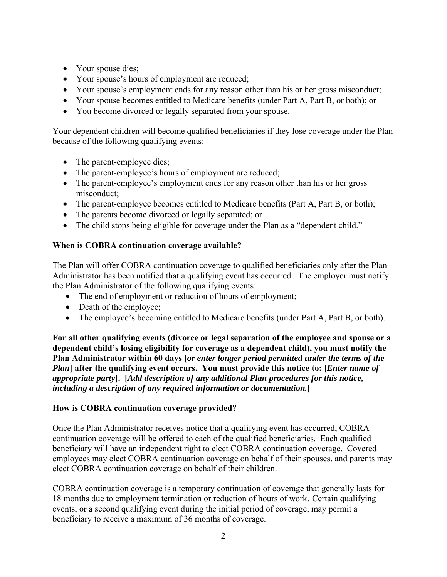- Your spouse dies;
- Your spouse's hours of employment are reduced;
- Your spouse's employment ends for any reason other than his or her gross misconduct;
- Your spouse becomes entitled to Medicare benefits (under Part A, Part B, or both); or
- You become divorced or legally separated from your spouse.

Your dependent children will become qualified beneficiaries if they lose coverage under the Plan because of the following qualifying events:

- The parent-employee dies;
- The parent-employee's hours of employment are reduced;
- The parent-employee's employment ends for any reason other than his or her gross misconduct;
- The parent-employee becomes entitled to Medicare benefits (Part A, Part B, or both);
- The parents become divorced or legally separated; or
- The child stops being eligible for coverage under the Plan as a "dependent child."

# **When is COBRA continuation coverage available?**

The Plan will offer COBRA continuation coverage to qualified beneficiaries only after the Plan Administrator has been notified that a qualifying event has occurred. The employer must notify the Plan Administrator of the following qualifying events:

- The end of employment or reduction of hours of employment;
- Death of the employee;
- The employee's becoming entitled to Medicare benefits (under Part A, Part B, or both).

**For all other qualifying events (divorce or legal separation of the employee and spouse or a dependent child's losing eligibility for coverage as a dependent child), you must notify the Plan Administrator within 60 days [***or enter longer period permitted under the terms of the Plan***] after the qualifying event occurs. You must provide this notice to: [***Enter name of appropriate party***].****[***Add description of any additional Plan procedures for this notice, including a description of any required information or documentation.***]** 

# **How is COBRA continuation coverage provided?**

Once the Plan Administrator receives notice that a qualifying event has occurred, COBRA continuation coverage will be offered to each of the qualified beneficiaries. Each qualified beneficiary will have an independent right to elect COBRA continuation coverage. Covered employees may elect COBRA continuation coverage on behalf of their spouses, and parents may elect COBRA continuation coverage on behalf of their children.

COBRA continuation coverage is a temporary continuation of coverage that generally lasts for 18 months due to employment termination or reduction of hours of work. Certain qualifying events, or a second qualifying event during the initial period of coverage, may permit a beneficiary to receive a maximum of 36 months of coverage.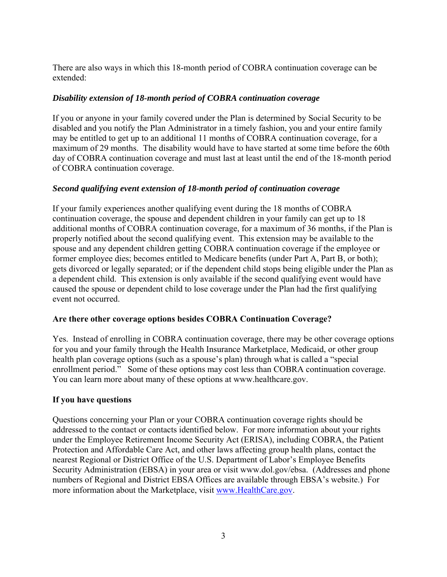There are also ways in which this 18-month period of COBRA continuation coverage can be extended:

### *Disability extension of 18-month period of COBRA continuation coverage*

If you or anyone in your family covered under the Plan is determined by Social Security to be disabled and you notify the Plan Administrator in a timely fashion, you and your entire family may be entitled to get up to an additional 11 months of COBRA continuation coverage, for a maximum of 29 months. The disability would have to have started at some time before the 60th day of COBRA continuation coverage and must last at least until the end of the 18-month period of COBRA continuation coverage.

## *Second qualifying event extension of 18-month period of continuation coverage*

If your family experiences another qualifying event during the 18 months of COBRA continuation coverage, the spouse and dependent children in your family can get up to 18 additional months of COBRA continuation coverage, for a maximum of 36 months, if the Plan is properly notified about the second qualifying event. This extension may be available to the spouse and any dependent children getting COBRA continuation coverage if the employee or former employee dies; becomes entitled to Medicare benefits (under Part A, Part B, or both); gets divorced or legally separated; or if the dependent child stops being eligible under the Plan as a dependent child. This extension is only available if the second qualifying event would have caused the spouse or dependent child to lose coverage under the Plan had the first qualifying event not occurred.

### **Are there other coverage options besides COBRA Continuation Coverage?**

Yes. Instead of enrolling in COBRA continuation coverage, there may be other coverage options for you and your family through the Health Insurance Marketplace, Medicaid, or other group health plan coverage options (such as a spouse's plan) through what is called a "special enrollment period." Some of these options may cost less than COBRA continuation coverage. You can learn more about many of these options at www.healthcare.gov.

# **If you have questions**

Questions concerning your Plan or your COBRA continuation coverage rights should be addressed to the contact or contacts identified below. For more information about your rights under the Employee Retirement Income Security Act (ERISA), including COBRA, the Patient Protection and Affordable Care Act, and other laws affecting group health plans, contact the nearest Regional or District Office of the U.S. Department of Labor's Employee Benefits Security Administration (EBSA) in your area or visit www.dol.gov/ebsa. (Addresses and phone numbers of Regional and District EBSA Offices are available through EBSA's website.) For more information about the Marketplace, visit www.HealthCare.gov.